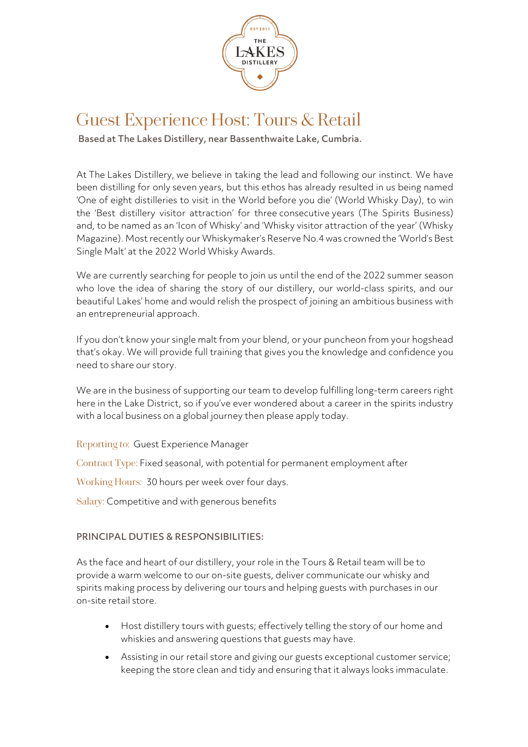

## Guest Experience Host: Tours & Retail

Based at The Lakes Distillery, near Bassenthwaite Lake, Cumbria.

At The Lakes Distillery, we believe in taking the lead and following our instinct. We have been distilling for only seven years, but this ethos has already resulted in us being named 'One of eight distilleries to visit in the World before you die' (World Whisky Day), to win the 'Best distillery visitor attraction' for three consecutive years (The Spirits Business) and, to be named as an 'Icon of Whisky' and 'Whisky visitor attraction of the year' (Whisky Magazine). Most recently our Whiskymaker's Reserve No.4 was crowned the 'World's Best Single Malt' at the 2022 World Whisky Awards.

We are currently searching for people to join us until the end of the 2022 summer season who love the idea of sharing the story of our distillery, our world-class spirits, and our beautiful Lakes' home and would relish the prospect of joining an ambitious business with an entrepreneurial approach.

If you don't know your single malt from your blend, or your puncheon from your hogshead that's okay. We will provide full training that gives you the knowledge and confidence you need to share our story.

We are in the business of supporting our team to develop fulfilling long-term careers right here in the Lake District, so if you've ever wondered about a career in the spirits industry with a local business on a global journey then please apply today.

Reporting to: Guest Experience Manager

Contract Type: Fixed seasonal, with potential for permanent employment after

Working Hours: 30 hours per week over four days.

Salary: Competitive and with generous benefits

## PRINCIPAL DUTIES & RESPONSIBILITIES:

As the face and heart of our distillery, your role in the Tours & Retail team will be to provide a warm welcome to our on-site guests, deliver communicate our whisky and spirits making process by delivering our tours and helping guests with purchases in our on-site retail store.

- Host distillery tours with guests; effectively telling the story of our home and whiskies and answering questions that guests may have.
- Assisting in our retail store and giving our guests exceptional customer service; keeping the store clean and tidy and ensuring that it always looks immaculate.